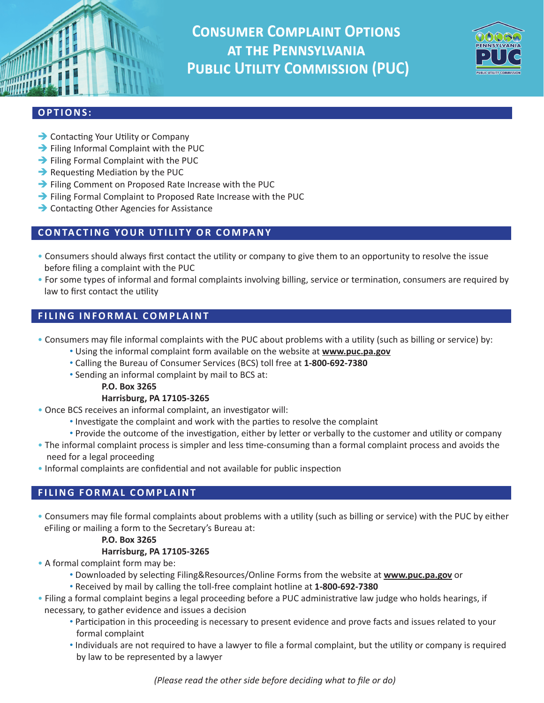**Consumer Complaint Options at the Pennsylvania Public Utility Commission (PUC)**



# **OPTIONS:**

- **→ Contacting Your Utility or Company**
- $\rightarrow$  Filing Informal Complaint with the PUC
- $\rightarrow$  Filing Formal Complaint with the PUC
- $\rightarrow$  Requesting Mediation by the PUC
- Filing Comment on Proposed Rate Increase with the PUC
- Filing Formal Complaint to Proposed Rate Increase with the PUC
- **→ Contacting Other Agencies for Assistance**

## **CONTACTING YOUR UTILITY OR COMPANY**

- Consumers should always first contact the utility or company to give them to an opportunity to resolve the issue before filing a complaint with the PUC
- For some types of informal and formal complaints involving billing, service or termination, consumers are required by law to first contact the utility

## **FILING INFORMAL COMPLAINT**

- Consumers may file informal complaints with the PUC about problems with a utility (such as billing or service) by:
	- Using the informal complaint form available on the website at **www.puc.pa.gov**
	- Calling the Bureau of Consumer Services (BCS) toll free at **1-800-692-7380**
	- Sending an informal complaint by mail to BCS at:
		- **P.O. Box 3265**

### **Harrisburg, PA 17105-3265**

- Once BCS receives an informal complaint, an investigator will:
	- Investigate the complaint and work with the parties to resolve the complaint
	- Provide the outcome of the investigation, either by letter or verbally to the customer and utility or company
- The informal complaint process is simpler and less time-consuming than a formal complaint process and avoids the need for a legal proceeding
- Informal complaints are confidential and not available for public inspection

## **FILING FORMAL COMPLAINT**

• Consumers may file formal complaints about problems with a utility (such as billing or service) with the PUC by either eFiling or mailing a form to the Secretary's Bureau at:

### **P.O. Box 3265**

### **Harrisburg, PA 17105-3265**

- A formal complaint form may be:
	- Downloaded by selecting Filing&Resources/Online Forms from the website at **www.puc.pa.gov** or
	- Received by mail by calling the toll-free complaint hotline at **1-800-692-7380**
- Filing a formal complaint begins a legal proceeding before a PUC administrative law judge who holds hearings, if necessary, to gather evidence and issues a decision
	- Participation in this proceeding is necessary to present evidence and prove facts and issues related to your formal complaint
	- Individuals are not required to have a lawyer to file a formal complaint, but the utility or company is required by law to be represented by a lawyer

*(Please read the other side before deciding what to file or do)*